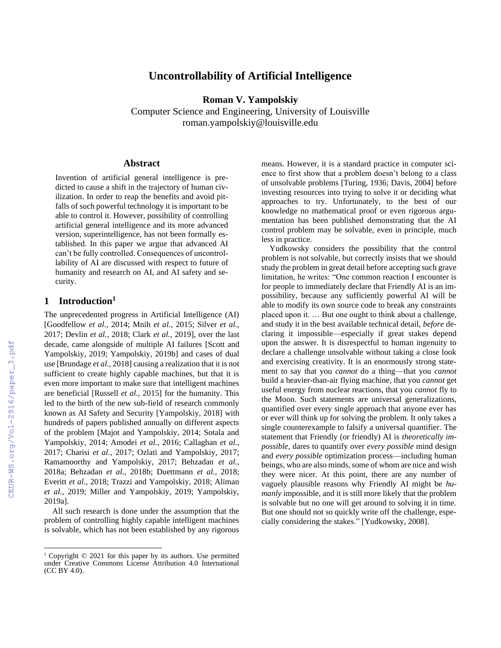# **Uncontrollability of Artificial Intelligence**

**Roman V. Yampolskiy**

Computer Science and Engineering, University of Louisville roman.yampolskiy@louisville.edu

#### **Abstract**

Invention of artificial general intelligence is predicted to cause a shift in the trajectory of human civilization. In order to reap the benefits and avoid pitfalls of such powerful technology it is important to be able to control it. However, possibility of controlling artificial general intelligence and its more advanced version, superintelligence, has not been formally established. In this paper we argue that advanced AI can't be fully controlled. Consequences of uncontrollability of AI are discussed with respect to future of humanity and research on AI, and AI safety and security.

## **1 Introduction<sup>1</sup>**

The unprecedented progress in Artificial Intelligence (AI) [Goodfellow *et al.*, 2014; Mnih *et al.*, 2015; Silver *et al.*, 2017; Devlin *et al.*, 2018; Clark *et al.*, 2019], over the last decade, came alongside of multiple AI failures [Scott and Yampolskiy, 2019; Yampolskiy, 2019b] and cases of dual use [Brundage *et al.*, 2018] causing a realization that it is not sufficient to create highly capable machines, but that it is even more important to make sure that intelligent machines are beneficial [Russell *et al.*, 2015] for the humanity. This led to the birth of the new sub-field of research commonly known as AI Safety and Security [Yampolskiy, 2018] with hundreds of papers published annually on different aspects of the problem [Majot and Yampolskiy, 2014; Sotala and Yampolskiy, 2014; Amodei *et al.*, 2016; Callaghan *et al.*, 2017; Charisi *et al.*, 2017; Ozlati and Yampolskiy, 2017; Ramamoorthy and Yampolskiy, 2017; Behzadan *et al.*, 2018a; Behzadan *et al.*, 2018b; Duettmann *et al.*, 2018; Everitt *et al.*, 2018; Trazzi and Yampolskiy, 2018; Aliman *et al.*, 2019; Miller and Yampolskiy, 2019; Yampolskiy, 2019a].

All such research is done under the assumption that the problem of controlling highly capable intelligent machines is solvable, which has not been established by any rigorous

means. However, it is a standard practice in computer science to first show that a problem doesn't belong to a class of unsolvable problems [Turing, 1936; Davis, 2004] before investing resources into trying to solve it or deciding what approaches to try. Unfortunately, to the best of our knowledge no mathematical proof or even rigorous argumentation has been published demonstrating that the AI control problem may be solvable, even in principle, much less in practice.

Yudkowsky considers the possibility that the control problem is not solvable, but correctly insists that we should study the problem in great detail before accepting such grave limitation, he writes: "One common reaction I encounter is for people to immediately declare that Friendly AI is an impossibility, because any sufficiently powerful AI will be able to modify its own source code to break any constraints placed upon it. … But one ought to think about a challenge, and study it in the best available technical detail, *before* declaring it impossible—especially if great stakes depend upon the answer. It is disrespectful to human ingenuity to declare a challenge unsolvable without taking a close look and exercising creativity. It is an enormously strong statement to say that you *cannot* do a thing—that you *cannot*  build a heavier-than-air flying machine, that you *cannot* get useful energy from nuclear reactions, that you *cannot* fly to the Moon. Such statements are universal generalizations, quantified over every single approach that anyone ever has or ever will think up for solving the problem. It only takes a single counterexample to falsify a universal quantifier. The statement that Friendly (or friendly) AI is *theoretically impossible*, dares to quantify over *every possible* mind design and *every possible* optimization process—including human beings, who are also minds, some of whom are nice and wish they were nicer. At this point, there are any number of vaguely plausible reasons why Friendly AI might be *humanly* impossible, and it is still more likely that the problem is solvable but no one will get around to solving it in time. But one should not so quickly write off the challenge, especially considering the stakes." [Yudkowsky, 2008].

<sup>1</sup> Copyright © 2021 for this paper by its authors. Use permitted under Creative Commons License Attribution 4.0 International (CC BY 4.0).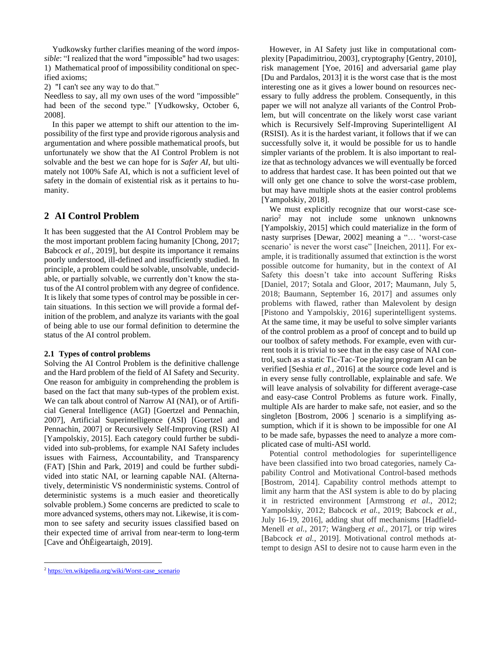Yudkowsky further clarifies meaning of the word *impossible*: "I realized that the word "impossible" had two usages: 1) Mathematical proof of impossibility conditional on specified axioms;

2) "I can't see any way to do that."

Needless to say, all my own uses of the word "impossible" had been of the second type." [Yudkowsky, October 6, 2008].

In this paper we attempt to shift our attention to the impossibility of the first type and provide rigorous analysis and argumentation and where possible mathematical proofs, but unfortunately we show that the AI Control Problem is not solvable and the best we can hope for is *Safer AI*, but ultimately not 100% Safe AI, which is not a sufficient level of safety in the domain of existential risk as it pertains to humanity.

# **2 AI Control Problem**

It has been suggested that the AI Control Problem may be the most important problem facing humanity [Chong, 2017; Babcock *et al.*, 2019], but despite its importance it remains poorly understood, ill-defined and insufficiently studied. In principle, a problem could be solvable, unsolvable, undecidable, or partially solvable, we currently don't know the status of the AI control problem with any degree of confidence. It is likely that some types of control may be possible in certain situations. In this section we will provide a formal definition of the problem, and analyze its variants with the goal of being able to use our formal definition to determine the status of the AI control problem.

#### **2.1 Types of control problems**

Solving the AI Control Problem is the definitive challenge and the Hard problem of the field of AI Safety and Security. One reason for ambiguity in comprehending the problem is based on the fact that many sub-types of the problem exist. We can talk about control of Narrow AI (NAI), or of Artificial General Intelligence (AGI) [Goertzel and Pennachin, 2007], Artificial Superintelligence (ASI) [Goertzel and Pennachin, 2007] or Recursively Self-Improving (RSI) AI [Yampolskiy, 2015]. Each category could further be subdivided into sub-problems, for example NAI Safety includes issues with Fairness, Accountability, and Transparency (FAT) [Shin and Park, 2019] and could be further subdivided into static NAI, or learning capable NAI. (Alternatively, deterministic VS nonderministic systems. Control of deterministic systems is a much easier and theoretically solvable problem.) Some concerns are predicted to scale to more advanced systems, others may not. Likewise, it is common to see safety and security issues classified based on their expected time of arrival from near-term to long-term [Cave and ÓhÉigeartaigh, 2019].

We must explicitly recognize that our worst-case scenario<sup>2</sup> may not include some unknown unknowns [Yampolskiy, 2015] which could materialize in the form of nasty surprises [Dewar, 2002] meaning a "… 'worst-case scenario' is never the worst case" [Ineichen, 2011]. For example, it is traditionally assumed that extinction is the worst possible outcome for humanity, but in the context of AI Safety this doesn't take into account Suffering Risks [Daniel, 2017; Sotala and Gloor, 2017; Maumann, July 5, 2018; Baumann, September 16, 2017] and assumes only problems with flawed, rather than Malevolent by design [Pistono and Yampolskiy, 2016] superintelligent systems. At the same time, it may be useful to solve simpler variants of the control problem as a proof of concept and to build up our toolbox of safety methods. For example, even with current tools it is trivial to see that in the easy case of NAI control, such as a static Tic-Tac-Toe playing program AI can be verified [Seshia *et al.*, 2016] at the source code level and is in every sense fully controllable, explainable and safe. We will leave analysis of solvability for different average-case and easy-case Control Problems as future work. Finally, multiple AIs are harder to make safe, not easier, and so the singleton [Bostrom, 2006 ] scenario is a simplifying assumption, which if it is shown to be impossible for one AI to be made safe, bypasses the need to analyze a more complicated case of multi-ASI world.

Potential control methodologies for superintelligence have been classified into two broad categories, namely Capability Control and Motivational Control-based methods [Bostrom, 2014]. Capability control methods attempt to limit any harm that the ASI system is able to do by placing it in restricted environment [Armstrong *et al.*, 2012; Yampolskiy, 2012; Babcock *et al.*, 2019; Babcock *et al.*, July 16-19, 2016], adding shut off mechanisms [Hadfield-Menell *et al.*, 2017; Wängberg *et al.*, 2017], or trip wires [Babcock *et al.*, 2019]. Motivational control methods attempt to design ASI to desire not to cause harm even in the

However, in AI Safety just like in computational complexity [Papadimitriou, 2003], cryptography [Gentry, 2010], risk management [Yoe, 2016] and adversarial game play [Du and Pardalos, 2013] it is the worst case that is the most interesting one as it gives a lower bound on resources necessary to fully address the problem. Consequently, in this paper we will not analyze all variants of the Control Problem, but will concentrate on the likely worst case variant which is Recursively Self-Improving Superintelligent AI (RSISI). As it is the hardest variant, it follows that if we can successfully solve it, it would be possible for us to handle simpler variants of the problem. It is also important to realize that as technology advances we will eventually be forced to address that hardest case. It has been pointed out that we will only get one chance to solve the worst-case problem, but may have multiple shots at the easier control problems [Yampolskiy, 2018].

<sup>2</sup> [https://en.wikipedia.org/wiki/Worst-case\\_scenario](https://en.wikipedia.org/wiki/Worst-case_scenario)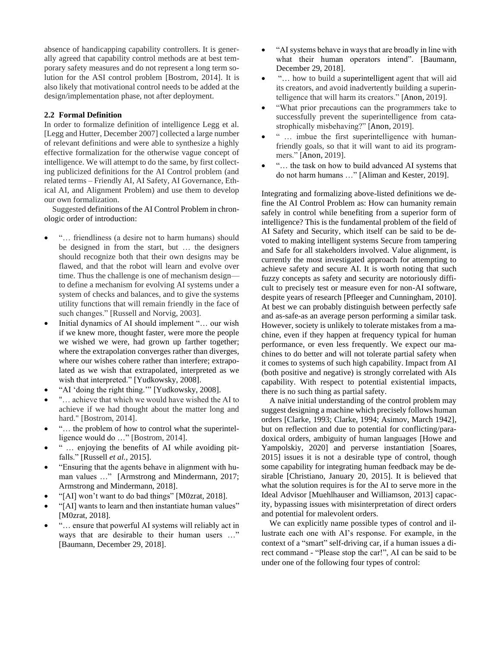absence of handicapping capability controllers. It is generally agreed that capability control methods are at best temporary safety measures and do not represent a long term solution for the ASI control problem [Bostrom, 2014]. It is also likely that motivational control needs to be added at the design/implementation phase, not after deployment.

#### **2.2 Formal Definition**

In order to formalize definition of intelligence Legg et al. [Legg and Hutter, December 2007] collected a large number of relevant definitions and were able to synthesize a highly effective formalization for the otherwise vague concept of intelligence. We will attempt to do the same, by first collecting publicized definitions for the AI Control problem (and related terms – Friendly AI, AI Safety, AI Governance, Ethical AI, and Alignment Problem) and use them to develop our own formalization.

Suggested definitions of the AI Control Problem in chronologic order of introduction:

- "… friendliness (a desire not to harm humans) should be designed in from the start, but … the designers should recognize both that their own designs may be flawed, and that the robot will learn and evolve over time. Thus the challenge is one of mechanism design to define a mechanism for evolving AI systems under a system of checks and balances, and to give the systems utility functions that will remain friendly in the face of such changes." [Russell and Norvig, 2003].
- Initial dynamics of AI should implement "... our wish if we knew more, thought faster, were more the people we wished we were, had grown up farther together; where the extrapolation converges rather than diverges, where our wishes cohere rather than interfere; extrapolated as we wish that extrapolated, interpreted as we wish that interpreted." [Yudkowsky, 2008].
- "AI 'doing the right thing.'" [Yudkowsky, 2008].
- "... achieve that which we would have wished the AI to achieve if we had thought about the matter long and hard." [Bostrom, 2014].
- "… the problem of how to control what the superintelligence would do …" [Bostrom, 2014].
- " … enjoying the benefits of AI while avoiding pitfalls." [Russell *et al.*, 2015].
- "Ensuring that the agents behave in alignment with human values …" [Armstrong and Mindermann, 2017; Armstrong and Mindermann, 2018].
- "[AI] won't want to do bad things" [M0zrat, 2018].
- "[AI] wants to learn and then instantiate human values" [M0zrat, 2018].
- "… ensure that powerful AI systems will reliably act in ways that are desirable to their human users …" [Baumann, December 29, 2018].
- "AI systems behave in ways that are broadly in line with what their human operators intend". [Baumann, December 29, 2018].
- "… how to build a superintelligent agent that will aid its creators, and avoid inadvertently building a superintelligence that will harm its creators." [Anon, 2019].
- "What prior precautions can the programmers take to successfully prevent the superintelligence from catastrophically misbehaving?" [Anon, 2019].
- " … imbue the first superintelligence with humanfriendly goals, so that it will want to aid its programmers." [Anon, 2019].
- "... the task on how to build advanced AI systems that do not harm humans …" [Aliman and Kester, 2019].

Integrating and formalizing above-listed definitions we define the AI Control Problem as: How can humanity remain safely in control while benefiting from a superior form of intelligence? This is the fundamental problem of the field of AI Safety and Security, which itself can be said to be devoted to making intelligent systems Secure from tampering and Safe for all stakeholders involved. Value alignment, is currently the most investigated approach for attempting to achieve safety and secure AI. It is worth noting that such fuzzy concepts as safety and security are notoriously difficult to precisely test or measure even for non-AI software, despite years of research [Pfleeger and Cunningham, 2010]. At best we can probably distinguish between perfectly safe and as-safe-as an average person performing a similar task. However, society is unlikely to tolerate mistakes from a machine, even if they happen at frequency typical for human performance, or even less frequently. We expect our machines to do better and will not tolerate partial safety when it comes to systems of such high capability. Impact from AI (both positive and negative) is strongly correlated with AIs capability. With respect to potential existential impacts, there is no such thing as partial safety.

A naïve initial understanding of the control problem may suggest designing a machine which precisely follows human orders [Clarke, 1993; Clarke, 1994; Asimov, March 1942], but on reflection and due to potential for conflicting/paradoxical orders, ambiguity of human languages [Howe and Yampolskiy, 2020] and perverse instantiation [Soares, 2015] issues it is not a desirable type of control, though some capability for integrating human feedback may be desirable [Christiano, January 20, 2015]. It is believed that what the solution requires is for the AI to serve more in the Ideal Advisor [Muehlhauser and Williamson, 2013] capacity, bypassing issues with misinterpretation of direct orders and potential for malevolent orders.

We can explicitly name possible types of control and illustrate each one with AI's response. For example, in the context of a "smart" self-driving car, if a human issues a direct command - "Please stop the car!", AI can be said to be under one of the following four types of control: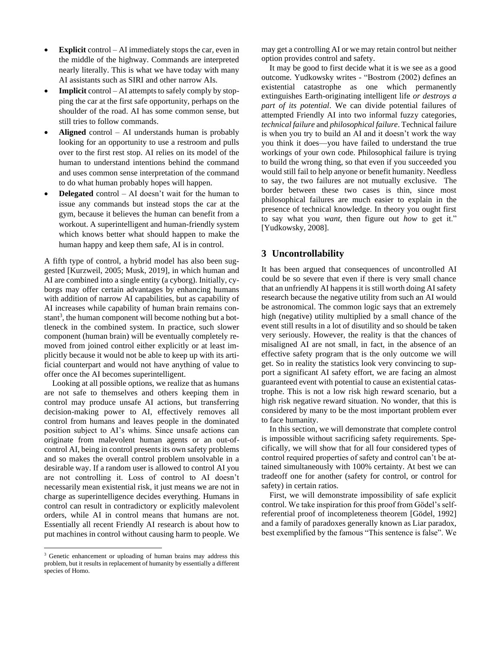- **Explicit** control AI immediately stops the car, even in the middle of the highway. Commands are interpreted nearly literally. This is what we have today with many AI assistants such as SIRI and other narrow AIs.
- **Implicit** control AI attempts to safely comply by stopping the car at the first safe opportunity, perhaps on the shoulder of the road. AI has some common sense, but still tries to follow commands.
- **Aligned** control AI understands human is probably looking for an opportunity to use a restroom and pulls over to the first rest stop. AI relies on its model of the human to understand intentions behind the command and uses common sense interpretation of the command to do what human probably hopes will happen.
- **Delegated** control AI doesn't wait for the human to issue any commands but instead stops the car at the gym, because it believes the human can benefit from a workout. A superintelligent and human-friendly system which knows better what should happen to make the human happy and keep them safe, AI is in control.

A fifth type of control, a hybrid model has also been suggested [Kurzweil, 2005; Musk, 2019], in which human and AI are combined into a single entity (a cyborg). Initially, cyborgs may offer certain advantages by enhancing humans with addition of narrow AI capabilities, but as capability of AI increases while capability of human brain remains constant<sup>3</sup>, the human component will become nothing but a bottleneck in the combined system. In practice, such slower component (human brain) will be eventually completely removed from joined control either explicitly or at least implicitly because it would not be able to keep up with its artificial counterpart and would not have anything of value to offer once the AI becomes superintelligent.

Looking at all possible options, we realize that as humans are not safe to themselves and others keeping them in control may produce unsafe AI actions, but transferring decision-making power to AI, effectively removes all control from humans and leaves people in the dominated position subject to AI's whims. Since unsafe actions can originate from malevolent human agents or an out-ofcontrol AI, being in control presents its own safety problems and so makes the overall control problem unsolvable in a desirable way. If a random user is allowed to control AI you are not controlling it. Loss of control to AI doesn't necessarily mean existential risk, it just means we are not in charge as superintelligence decides everything. Humans in control can result in contradictory or explicitly malevolent orders, while AI in control means that humans are not. Essentially all recent Friendly AI research is about how to put machines in control without causing harm to people. We

may get a controlling AI or we may retain control but neither option provides control and safety.

It may be good to first decide what it is we see as a good outcome. Yudkowsky writes - "Bostrom (2002) defines an existential catastrophe as one which permanently extinguishes Earth-originating intelligent life *or destroys a part of its potential*. We can divide potential failures of attempted Friendly AI into two informal fuzzy categories, *technical failure* and *philosophical failure*. Technical failure is when you try to build an AI and it doesn't work the way you think it does—you have failed to understand the true workings of your own code. Philosophical failure is trying to build the wrong thing, so that even if you succeeded you would still fail to help anyone or benefit humanity. Needless to say, the two failures are not mutually exclusive. The border between these two cases is thin, since most philosophical failures are much easier to explain in the presence of technical knowledge. In theory you ought first to say what you *want*, then figure out *how* to get it." [Yudkowsky, 2008].

## **3 Uncontrollability**

It has been argued that consequences of uncontrolled AI could be so severe that even if there is very small chance that an unfriendly AI happens it is still worth doing AI safety research because the negative utility from such an AI would be astronomical. The common logic says that an extremely high (negative) utility multiplied by a small chance of the event still results in a lot of disutility and so should be taken very seriously. However, the reality is that the chances of misaligned AI are not small, in fact, in the absence of an effective safety program that is the only outcome we will get. So in reality the statistics look very convincing to support a significant AI safety effort, we are facing an almost guaranteed event with potential to cause an existential catastrophe. This is not a low risk high reward scenario, but a high risk negative reward situation. No wonder, that this is considered by many to be the most important problem ever to face humanity.

In this section, we will demonstrate that complete control is impossible without sacrificing safety requirements. Specifically, we will show that for all four considered types of control required properties of safety and control can't be attained simultaneously with 100% certainty. At best we can tradeoff one for another (safety for control, or control for safety) in certain ratios.

First, we will demonstrate impossibility of safe explicit control. We take inspiration for this proof from Gödel's selfreferential proof of incompleteness theorem [Gödel, 1992] and a family of paradoxes generally known as Liar paradox, best exemplified by the famous "This sentence is false". We

<sup>&</sup>lt;sup>3</sup> Genetic enhancement or uploading of human brains may address this problem, but it results in replacement of humanity by essentially a different species of Homo.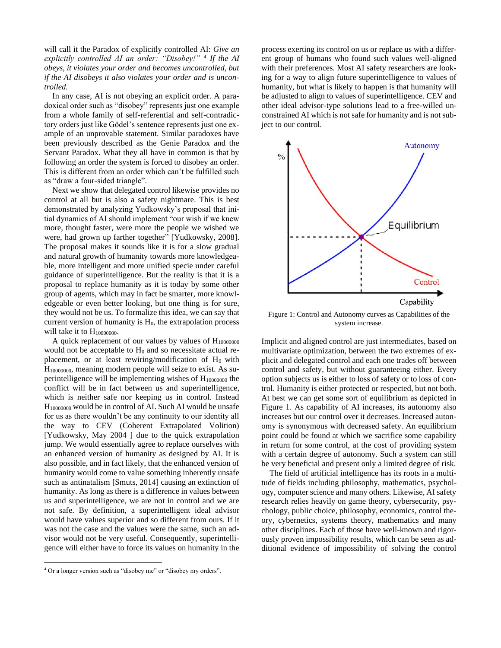will call it the Paradox of explicitly controlled AI: *Give an explicitly controlled AI an order: "Disobey!"* <sup>4</sup> *If the AI obeys, it violates your order and becomes uncontrolled, but if the AI disobeys it also violates your order and is uncontrolled.*

In any case, AI is not obeying an explicit order. A paradoxical order such as "disobey" represents just one example from a whole family of self-referential and self-contradictory orders just like Gödel's sentence represents just one example of an unprovable statement. Similar paradoxes have been previously described as the Genie Paradox and the Servant Paradox. What they all have in common is that by following an order the system is forced to disobey an order. This is different from an order which can't be fulfilled such as "draw a four-sided triangle".

Next we show that delegated control likewise provides no control at all but is also a safety nightmare. This is best demonstrated by analyzing Yudkowsky's proposal that initial dynamics of AI should implement "our wish if we knew more, thought faster, were more the people we wished we were, had grown up farther together" [Yudkowsky, 2008]. The proposal makes it sounds like it is for a slow gradual and natural growth of humanity towards more knowledgeable, more intelligent and more unified specie under careful guidance of superintelligence. But the reality is that it is a proposal to replace humanity as it is today by some other group of agents, which may in fact be smarter, more knowledgeable or even better looking, but one thing is for sure, they would not be us. To formalize this idea, we can say that current version of humanity is  $H<sub>0</sub>$ , the extrapolation process will take it to  $H_{10000000}$ .

A quick replacement of our values by values of  $H_{10000000}$ would not be acceptable to  $H_0$  and so necessitate actual replacement, or at least rewiring/modification of  $H_0$  with H10000000, meaning modern people will seize to exist. As superintelligence will be implementing wishes of  $H_{10000000}$  the conflict will be in fact between us and superintelligence, which is neither safe nor keeping us in control. Instead H<sup>10000000</sup> would be in control of AI. Such AI would be unsafe for us as there wouldn't be any continuity to our identity all the way to CEV (Coherent Extrapolated Volition) [Yudkowsky, May 2004 ] due to the quick extrapolation jump. We would essentially agree to replace ourselves with an enhanced version of humanity as designed by AI. It is also possible, and in fact likely, that the enhanced version of humanity would come to value something inherently unsafe such as antinatalism [Smuts, 2014] causing an extinction of humanity. As long as there is a difference in values between us and superintelligence, we are not in control and we are not safe. By definition, a superintelligent ideal advisor would have values superior and so different from ours. If it was not the case and the values were the same, such an advisor would not be very useful. Consequently, superintelligence will either have to force its values on humanity in the

process exerting its control on us or replace us with a different group of humans who found such values well-aligned with their preferences. Most AI safety researchers are looking for a way to align future superintelligence to values of humanity, but what is likely to happen is that humanity will be adjusted to align to values of superintelligence. CEV and other ideal advisor-type solutions lead to a free-willed unconstrained AI which is not safe for humanity and is not subject to our control.



Figure 1: Control and Autonomy curves as Capabilities of the system increase.

Implicit and aligned control are just intermediates, based on multivariate optimization, between the two extremes of explicit and delegated control and each one trades off between control and safety, but without guaranteeing either. Every option subjects us is either to loss of safety or to loss of control. Humanity is either protected or respected, but not both. At best we can get some sort of equilibrium as depicted in Figure 1. As capability of AI increases, its autonomy also increases but our control over it decreases. Increased autonomy is synonymous with decreased safety. An equilibrium point could be found at which we sacrifice some capability in return for some control, at the cost of providing system with a certain degree of autonomy. Such a system can still be very beneficial and present only a limited degree of risk.

The field of artificial intelligence has its roots in a multitude of fields including philosophy, mathematics, psychology, computer science and many others. Likewise, AI safety research relies heavily on game theory, cybersecurity, psychology, public choice, philosophy, economics, control theory, cybernetics, systems theory, mathematics and many other disciplines. Each of those have well-known and rigorously proven impossibility results, which can be seen as additional evidence of impossibility of solving the control

<sup>4</sup> Or a longer version such as "disobey me" or "disobey my orders".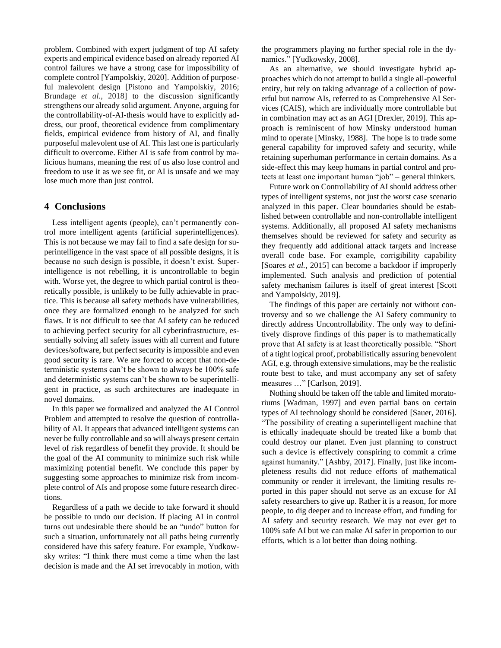problem. Combined with expert judgment of top AI safety experts and empirical evidence based on already reported AI control failures we have a strong case for impossibility of complete control [Yampolskiy, 2020]. Addition of purposeful malevolent design [Pistono and Yampolskiy, 2016; Brundage *et al.*, 2018] to the discussion significantly strengthens our already solid argument. Anyone, arguing for the controllability-of-AI-thesis would have to explicitly address, our proof, theoretical evidence from complimentary fields, empirical evidence from history of AI, and finally purposeful malevolent use of AI. This last one is particularly difficult to overcome. Either AI is safe from control by malicious humans, meaning the rest of us also lose control and freedom to use it as we see fit, or AI is unsafe and we may lose much more than just control.

#### **4 Conclusions**

Less intelligent agents (people), can't permanently control more intelligent agents (artificial superintelligences). This is not because we may fail to find a safe design for superintelligence in the vast space of all possible designs, it is because no such design is possible, it doesn't exist. Superintelligence is not rebelling, it is uncontrollable to begin with. Worse yet, the degree to which partial control is theoretically possible, is unlikely to be fully achievable in practice. This is because all safety methods have vulnerabilities, once they are formalized enough to be analyzed for such flaws. It is not difficult to see that AI safety can be reduced to achieving perfect security for all cyberinfrastructure, essentially solving all safety issues with all current and future devices/software, but perfect security is impossible and even good security is rare. We are forced to accept that non-deterministic systems can't be shown to always be 100% safe and deterministic systems can't be shown to be superintelligent in practice, as such architectures are inadequate in novel domains.

In this paper we formalized and analyzed the AI Control Problem and attempted to resolve the question of controllability of AI. It appears that advanced intelligent systems can never be fully controllable and so will always present certain level of risk regardless of benefit they provide. It should be the goal of the AI community to minimize such risk while maximizing potential benefit. We conclude this paper by suggesting some approaches to minimize risk from incomplete control of AIs and propose some future research directions.

Regardless of a path we decide to take forward it should be possible to undo our decision. If placing AI in control turns out undesirable there should be an "undo" button for such a situation, unfortunately not all paths being currently considered have this safety feature. For example, Yudkowsky writes: "I think there must come a time when the last decision is made and the AI set irrevocably in motion, with the programmers playing no further special role in the dynamics." [Yudkowsky, 2008].

As an alternative, we should investigate hybrid approaches which do not attempt to build a single all-powerful entity, but rely on taking advantage of a collection of powerful but narrow AIs, referred to as Comprehensive AI Services (CAIS), which are individually more controllable but in combination may act as an AGI [Drexler, 2019]. This approach is reminiscent of how Minsky understood human mind to operate [Minsky, 1988]. The hope is to trade some general capability for improved safety and security, while retaining superhuman performance in certain domains. As a side-effect this may keep humans in partial control and protects at least one important human "job" – general thinkers.

Future work on Controllability of AI should address other types of intelligent systems, not just the worst case scenario analyzed in this paper. Clear boundaries should be established between controllable and non-controllable intelligent systems. Additionally, all proposed AI safety mechanisms themselves should be reviewed for safety and security as they frequently add additional attack targets and increase overall code base. For example, corrigibility capability [Soares *et al.*, 2015] can become a backdoor if improperly implemented. Such analysis and prediction of potential safety mechanism failures is itself of great interest [Scott and Yampolskiy, 2019].

The findings of this paper are certainly not without controversy and so we challenge the AI Safety community to directly address Uncontrollability. The only way to definitively disprove findings of this paper is to mathematically prove that AI safety is at least theoretically possible. "Short of a tight logical proof, probabilistically assuring benevolent AGI, e.g. through extensive simulations, may be the realistic route best to take, and must accompany any set of safety measures …" [Carlson, 2019].

Nothing should be taken off the table and limited moratoriums [Wadman, 1997] and even partial bans on certain types of AI technology should be considered [Sauer, 2016]. "The possibility of creating a superintelligent machine that is ethically inadequate should be treated like a bomb that could destroy our planet. Even just planning to construct such a device is effectively conspiring to commit a crime against humanity." [Ashby, 2017]. Finally, just like incompleteness results did not reduce efforts of mathematical community or render it irrelevant, the limiting results reported in this paper should not serve as an excuse for AI safety researchers to give up. Rather it is a reason, for more people, to dig deeper and to increase effort, and funding for AI safety and security research. We may not ever get to 100% safe AI but we can make AI safer in proportion to our efforts, which is a lot better than doing nothing.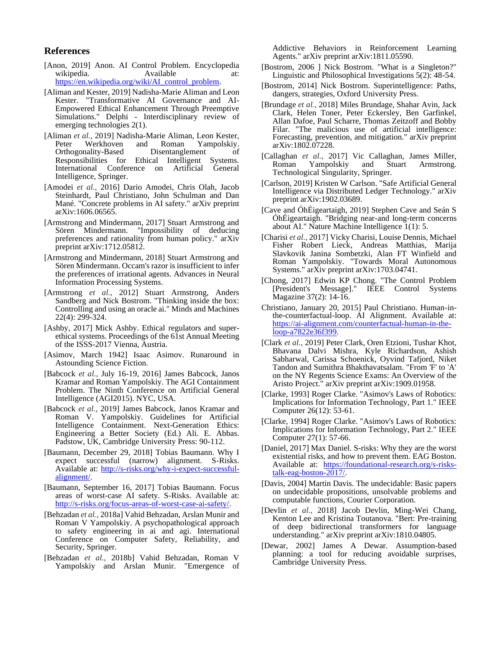#### **References**

- [Anon, 2019] Anon. AI Control Problem. Encyclopedia wikipedia. Available at: [https://en.wikipedia.org/wiki/AI\\_control\\_problem.](https://en.wikipedia.org/wiki/AI_control_problem)
- [Aliman and Kester, 2019] Nadisha-Marie Aliman and Leon Kester. "Transformative AI Governance and AI-Empowered Ethical Enhancement Through Preemptive Simulations." Delphi - Interdisciplinary review of emerging technologies 2(1).
- [Aliman *et al.*, 2019] Nadisha-Marie Aliman, Leon Kester, Peter Werkhoven and Roman Yampolskiy.<br>Orthogonality-Based Disentanglement of Orthogonality-Based Disentanglement of Responsibilities for Ethical Intelligent Systems. International Conference on Artificial General Intelligence, Springer.
- [Amodei *et al.*, 2016] Dario Amodei, Chris Olah, Jacob Steinhardt, Paul Christiano, John Schulman and Dan Mané. "Concrete problems in AI safety." arXiv preprint arXiv:1606.06565.
- [Armstrong and Mindermann, 2017] Stuart Armstrong and Sören Mindermann. "Impossibility of deducing preferences and rationality from human policy." arXiv preprint arXiv:1712.05812.
- [Armstrong and Mindermann, 2018] Stuart Armstrong and Sören Mindermann. Occam's razor is insufficient to infer the preferences of irrational agents. Advances in Neural Information Processing Systems.
- [Armstrong *et al.*, 2012] Stuart Armstrong, Anders Sandberg and Nick Bostrom. "Thinking inside the box: Controlling and using an oracle ai." Minds and Machines 22(4): 299-324.
- [Ashby, 2017] Mick Ashby. Ethical regulators and superethical systems. Proceedings of the 61st Annual Meeting of the ISSS-2017 Vienna, Austria.
- [Asimov, March 1942] Isaac Asimov. Runaround in Astounding Science Fiction.
- [Babcock *et al.*, July 16-19, 2016] James Babcock, Janos Kramar and Roman Yampolskiy. The AGI Containment Problem. The Ninth Conference on Artificial General Intelligence (AGI2015). NYC, USA.
- [Babcock *et al.*, 2019] James Babcock, Janos Kramar and Roman V. Yampolskiy. Guidelines for Artificial Intelligence Containment. Next-Generation Ethics: Engineering a Better Society (Ed.) Ali. E. Abbas. Padstow, UK, Cambridge University Press: 90-112.
- [Baumann, December 29, 2018] Tobias Baumann. Why I expect successful (narrow) alignment. S-Risks. Available at: [http://s-risks.org/why-i-expect-successful](http://s-risks.org/why-i-expect-successful-alignment/)[alignment/.](http://s-risks.org/why-i-expect-successful-alignment/)
- [Baumann, September 16, 2017] Tobias Baumann. Focus areas of worst-case AI safety. S-Risks. Available at: [http://s-risks.org/focus-areas-of-worst-case-ai-safety/.](http://s-risks.org/focus-areas-of-worst-case-ai-safety/)
- [Behzadan *et al.*, 2018a] Vahid Behzadan, Arslan Munir and Roman V Yampolskiy. A psychopathological approach to safety engineering in ai and agi. International Conference on Computer Safety, Reliability, and Security, Springer.
- [Behzadan *et al.*, 2018b] Vahid Behzadan, Roman V Yampolskiy and Arslan Munir. "Emergence of

Addictive Behaviors in Reinforcement Learning Agents." arXiv preprint arXiv:1811.05590.

- [Bostrom, 2006 ] Nick Bostrom. "What is a Singleton?" Linguistic and Philosophical Investigations 5(2): 48-54.
- [Bostrom, 2014] Nick Bostrom. Superintelligence: Paths, dangers, strategies, Oxford University Press.
- [Brundage *et al.*, 2018] Miles Brundage, Shahar Avin, Jack Clark, Helen Toner, Peter Eckersley, Ben Garfinkel, Allan Dafoe, Paul Scharre, Thomas Zeitzoff and Bobby Filar. "The malicious use of artificial intelligence: Forecasting, prevention, and mitigation." arXiv preprint arXiv:1802.07228.
- [Callaghan *et al.*, 2017] Vic Callaghan, James Miller, Roman Yampolskiy and Stuart Armstrong. Technological Singularity, Springer.
- [Carlson, 2019] Kristen W Carlson. "Safe Artificial General Intelligence via Distributed Ledger Technology." arXiv preprint arXiv:1902.03689.
- [Cave and ÓhÉigeartaigh, 2019] Stephen Cave and Seán S ÓhÉigeartaigh. "Bridging near-and long-term concerns about AI." Nature Machine Intelligence 1(1): 5.
- [Charisi *et al.*, 2017] Vicky Charisi, Louise Dennis, Michael Fisher Robert Lieck, Andreas Matthias, Marija Slavkovik Janina Sombetzki, Alan FT Winfield and Roman Yampolskiy. "Towards Moral Autonomous Systems." arXiv preprint arXiv:1703.04741.
- [Chong, 2017] Edwin KP Chong. "The Control Problem [President's Message]." IEEE Control Systems Magazine 37(2): 14-16.
- Christiano, January 20, 2015] Paul Christiano. Human-inthe-counterfactual-loop. AI Alignment. Available at: [https://ai-alignment.com/counterfactual-human-in-the](https://ai-alignment.com/counterfactual-human-in-the-loop-a7822e36f399)[loop-a7822e36f399.](https://ai-alignment.com/counterfactual-human-in-the-loop-a7822e36f399)
- [Clark *et al.*, 2019] Peter Clark, Oren Etzioni, Tushar Khot, Bhavana Dalvi Mishra, Kyle Richardson, Ashish Sabharwal, Carissa Schoenick, Oyvind Tafjord, Niket Tandon and Sumithra Bhakthavatsalam. "From 'F' to 'A' on the NY Regents Science Exams: An Overview of the Aristo Project." arXiv preprint arXiv:1909.01958.
- [Clarke, 1993] Roger Clarke. "Asimov's Laws of Robotics: Implications for Information Technology, Part 1." IEEE Computer 26(12): 53-61.
- [Clarke, 1994] Roger Clarke. "Asimov's Laws of Robotics: Implications for Information Technology, Part 2." IEEE Computer 27(1): 57-66.
- [Daniel, 2017] Max Daniel. S-risks: Why they are the worst existential risks, and how to prevent them. EAG Boston. Available at: [https://foundational-research.org/s-risks](https://foundational-research.org/s-risks-talk-eag-boston-2017/)[talk-eag-boston-2017/.](https://foundational-research.org/s-risks-talk-eag-boston-2017/)
- [Davis, 2004] Martin Davis. The undecidable: Basic papers on undecidable propositions, unsolvable problems and computable functions, Courier Corporation.
- [Devlin *et al.*, 2018] Jacob Devlin, Ming-Wei Chang, Kenton Lee and Kristina Toutanova. "Bert: Pre-training of deep bidirectional transformers for language understanding." arXiv preprint arXiv:1810.04805.
- [Dewar, 2002] James A Dewar. Assumption-based planning: a tool for reducing avoidable surprises, Cambridge University Press.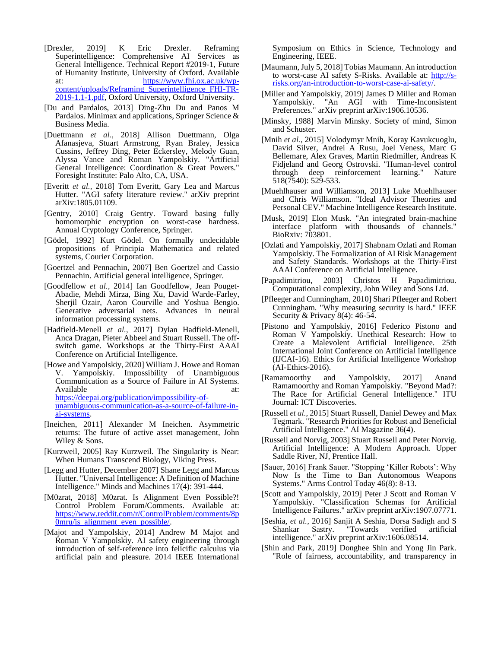- [Drexler, 2019] K Eric Drexler. Reframing Superintelligence: Comprehensive AI Services as General Intelligence. Technical Report #2019-1, Future of Humanity Institute, University of Oxford. Available at: [https://www.fhi.ox.ac.uk/wp](https://www.fhi.ox.ac.uk/wp-content/uploads/Reframing_Superintelligence_FHI-TR-2019-1.1-1.pdf)[content/uploads/Reframing\\_Superintelligence\\_FHI-TR-](https://www.fhi.ox.ac.uk/wp-content/uploads/Reframing_Superintelligence_FHI-TR-2019-1.1-1.pdf)[2019-1.1-1.pdf,](https://www.fhi.ox.ac.uk/wp-content/uploads/Reframing_Superintelligence_FHI-TR-2019-1.1-1.pdf) Oxford University, Oxford University.
- [Du and Pardalos, 2013] Ding-Zhu Du and Panos M Pardalos. Minimax and applications, Springer Science & Business Media.
- [Duettmann *et al.*, 2018] Allison Duettmann, Olga Afanasjeva, Stuart Armstrong, Ryan Braley, Jessica Cussins, Jeffrey Ding, Peter Eckersley, Melody Guan, Alyssa Vance and Roman Yampolskiy. "Artificial General Intelligence: Coordination & Great Powers." Foresight Institute: Palo Alto, CA, USA.
- [Everitt *et al.*, 2018] Tom Everitt, Gary Lea and Marcus Hutter. "AGI safety literature review." arXiv preprint arXiv:1805.01109.
- [Gentry, 2010] Craig Gentry. Toward basing fully homomorphic encryption on worst-case hardness. Annual Cryptology Conference, Springer.
- [Gödel, 1992] Kurt Gödel. On formally undecidable propositions of Principia Mathematica and related systems, Courier Corporation.
- [Goertzel and Pennachin, 2007] Ben Goertzel and Cassio Pennachin. Artificial general intelligence, Springer.
- [Goodfellow *et al.*, 2014] Ian Goodfellow, Jean Pouget-Abadie, Mehdi Mirza, Bing Xu, David Warde-Farley, Sherjil Ozair, Aaron Courville and Yoshua Bengio. Generative adversarial nets. Advances in neural information processing systems.
- [Hadfield-Menell *et al.*, 2017] Dylan Hadfield-Menell, Anca Dragan, Pieter Abbeel and Stuart Russell. The offswitch game. Workshops at the Thirty-First AAAI Conference on Artificial Intelligence.
- [Howe and Yampolskiy, 2020] William J. Howe and Roman V. Yampolskiy. Impossibility of Unambiguous Communication as a Source of Failure in AI Systems. Available at: at: [https://deepai.org/publication/impossibility-of](https://deepai.org/publication/impossibility-of-unambiguous-communication-as-a-source-of-failure-in-ai-systems)[unambiguous-communication-as-a-source-of-failure-in](https://deepai.org/publication/impossibility-of-unambiguous-communication-as-a-source-of-failure-in-ai-systems)[ai-systems.](https://deepai.org/publication/impossibility-of-unambiguous-communication-as-a-source-of-failure-in-ai-systems)
- [Ineichen, 2011] Alexander M Ineichen. Asymmetric returns: The future of active asset management, John Wiley & Sons.
- [Kurzweil, 2005] Ray Kurzweil. The Singularity is Near: When Humans Transcend Biology, Viking Press.
- [Legg and Hutter, December 2007] Shane Legg and Marcus Hutter. "Universal Intelligence: A Definition of Machine Intelligence." Minds and Machines 17(4): 391-444.
- [M0zrat, 2018] M0zrat. Is Alignment Even Possible?! Control Problem Forum/Comments. Available at: [https://www.reddit.com/r/ControlProblem/comments/8p](https://www.reddit.com/r/ControlProblem/comments/8p0mru/is_alignment_even_possible/) 0mru/is alignment even possible/.
- [Majot and Yampolskiy, 2014] Andrew M Majot and Roman V Yampolskiy. AI safety engineering through introduction of self-reference into felicific calculus via artificial pain and pleasure. 2014 IEEE International

Symposium on Ethics in Science, Technology and Engineering, IEEE.

- [Maumann, July 5, 2018] Tobias Maumann. An introduction to worst-case AI safety S-Risks. Available at: [http://s](http://s-risks.org/an-introduction-to-worst-case-ai-safety/)[risks.org/an-introduction-to-worst-case-ai-safety/.](http://s-risks.org/an-introduction-to-worst-case-ai-safety/)
- [Miller and Yampolskiy, 2019] James D Miller and Roman Yampolskiy. "An AGI with Time-Inconsistent Preferences." arXiv preprint arXiv:1906.10536.
- [Minsky, 1988] Marvin Minsky. Society of mind, Simon and Schuster.
- [Mnih *et al.*, 2015] Volodymyr Mnih, Koray Kavukcuoglu, David Silver, Andrei A Rusu, Joel Veness, Marc G Bellemare, Alex Graves, Martin Riedmiller, Andreas K Fidjeland and Georg Ostrovski. "Human-level control through deep reinforcement learning." Nature 518(7540): 529-533.
- [Muehlhauser and Williamson, 2013] Luke Muehlhauser and Chris Williamson. "Ideal Advisor Theories and Personal CEV." Machine Intelligence Research Institute.
- [Musk, 2019] Elon Musk. "An integrated brain-machine interface platform with thousands of channels." BioRxiv: 703801.
- [Ozlati and Yampolskiy, 2017] Shabnam Ozlati and Roman Yampolskiy. The Formalization of AI Risk Management and Safety Standards. Workshops at the Thirty-First AAAI Conference on Artificial Intelligence.
- [Papadimitriou, 2003] Christos H Papadimitriou. Computational complexity, John Wiley and Sons Ltd.
- [Pfleeger and Cunningham, 2010] Shari Pfleeger and Robert Cunningham. "Why measuring security is hard." IEEE Security & Privacy 8(4): 46-54.
- [Pistono and Yampolskiy, 2016] Federico Pistono and Roman V Yampolskiy. Unethical Research: How to Create a Malevolent Artificial Intelligence. 25th International Joint Conference on Artificial Intelligence (IJCAI-16). Ethics for Artificial Intelligence Workshop (AI-Ethics-2016).
- [Ramamoorthy and Yampolskiy, 2017] Anand Ramamoorthy and Roman Yampolskiy. "Beyond Mad?: The Race for Artificial General Intelligence." ITU Journal: ICT Discoveries.
- [Russell *et al.*, 2015] Stuart Russell, Daniel Dewey and Max Tegmark. "Research Priorities for Robust and Beneficial Artificial Intelligence." AI Magazine 36(4).
- [Russell and Norvig, 2003] Stuart Russell and Peter Norvig. Artificial Intelligence: A Modern Approach. Upper Saddle River, NJ, Prentice Hall.
- [Sauer, 2016] Frank Sauer. "Stopping 'Killer Robots': Why Now Is the Time to Ban Autonomous Weapons Systems." Arms Control Today 46(8): 8-13.
- [Scott and Yampolskiy, 2019] Peter J Scott and Roman V Yampolskiy. "Classification Schemas for Artificial Intelligence Failures." arXiv preprint arXiv:1907.07771.
- [Seshia, *et al.*, 2016] Sanjit A Seshia, Dorsa Sadigh and S Shankar Sastry. "Towards verified artificial intelligence." arXiv preprint arXiv:1606.08514.
- [Shin and Park, 2019] Donghee Shin and Yong Jin Park. "Role of fairness, accountability, and transparency in